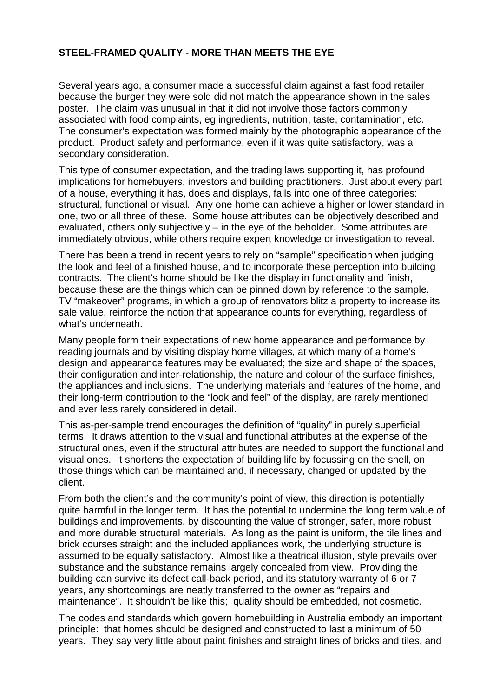## **STEEL-FRAMED QUALITY - MORE THAN MEETS THE EYE**

Several years ago, a consumer made a successful claim against a fast food retailer because the burger they were sold did not match the appearance shown in the sales poster. The claim was unusual in that it did not involve those factors commonly associated with food complaints, eg ingredients, nutrition, taste, contamination, etc. The consumer's expectation was formed mainly by the photographic appearance of the product. Product safety and performance, even if it was quite satisfactory, was a secondary consideration.

This type of consumer expectation, and the trading laws supporting it, has profound implications for homebuyers, investors and building practitioners. Just about every part of a house, everything it has, does and displays, falls into one of three categories: structural, functional or visual. Any one home can achieve a higher or lower standard in one, two or all three of these. Some house attributes can be objectively described and evaluated, others only subjectively – in the eye of the beholder. Some attributes are immediately obvious, while others require expert knowledge or investigation to reveal.

There has been a trend in recent years to rely on "sample" specification when judging the look and feel of a finished house, and to incorporate these perception into building contracts. The client's home should be like the display in functionality and finish, because these are the things which can be pinned down by reference to the sample. TV "makeover" programs, in which a group of renovators blitz a property to increase its sale value, reinforce the notion that appearance counts for everything, regardless of what's underneath.

Many people form their expectations of new home appearance and performance by reading journals and by visiting display home villages, at which many of a home's design and appearance features may be evaluated; the size and shape of the spaces, their configuration and inter-relationship, the nature and colour of the surface finishes, the appliances and inclusions. The underlying materials and features of the home, and their long-term contribution to the "look and feel" of the display, are rarely mentioned and ever less rarely considered in detail.

This as-per-sample trend encourages the definition of "quality" in purely superficial terms. It draws attention to the visual and functional attributes at the expense of the structural ones, even if the structural attributes are needed to support the functional and visual ones. It shortens the expectation of building life by focussing on the shell, on those things which can be maintained and, if necessary, changed or updated by the client.

From both the client's and the community's point of view, this direction is potentially quite harmful in the longer term. It has the potential to undermine the long term value of buildings and improvements, by discounting the value of stronger, safer, more robust and more durable structural materials. As long as the paint is uniform, the tile lines and brick courses straight and the included appliances work, the underlying structure is assumed to be equally satisfactory. Almost like a theatrical illusion, style prevails over substance and the substance remains largely concealed from view. Providing the building can survive its defect call-back period, and its statutory warranty of 6 or 7 years, any shortcomings are neatly transferred to the owner as "repairs and maintenance". It shouldn't be like this; quality should be embedded, not cosmetic.

The codes and standards which govern homebuilding in Australia embody an important principle: that homes should be designed and constructed to last a minimum of 50 years. They say very little about paint finishes and straight lines of bricks and tiles, and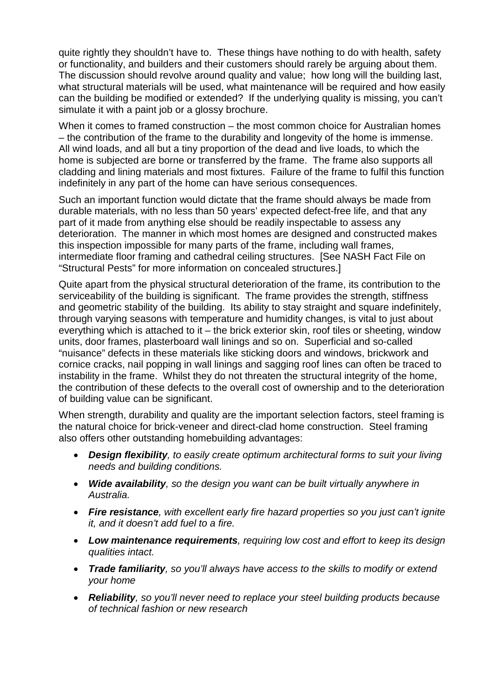quite rightly they shouldn't have to. These things have nothing to do with health, safety or functionality, and builders and their customers should rarely be arguing about them. The discussion should revolve around quality and value; how long will the building last, what structural materials will be used, what maintenance will be required and how easily can the building be modified or extended? If the underlying quality is missing, you can't simulate it with a paint job or a glossy brochure.

When it comes to framed construction – the most common choice for Australian homes – the contribution of the frame to the durability and longevity of the home is immense. All wind loads, and all but a tiny proportion of the dead and live loads, to which the home is subjected are borne or transferred by the frame. The frame also supports all cladding and lining materials and most fixtures. Failure of the frame to fulfil this function indefinitely in any part of the home can have serious consequences.

Such an important function would dictate that the frame should always be made from durable materials, with no less than 50 years' expected defect-free life, and that any part of it made from anything else should be readily inspectable to assess any deterioration. The manner in which most homes are designed and constructed makes this inspection impossible for many parts of the frame, including wall frames, intermediate floor framing and cathedral ceiling structures. [See NASH Fact File on "Structural Pests" for more information on concealed structures.]

Quite apart from the physical structural deterioration of the frame, its contribution to the serviceability of the building is significant. The frame provides the strength, stiffness and geometric stability of the building. Its ability to stay straight and square indefinitely, through varying seasons with temperature and humidity changes, is vital to just about everything which is attached to it – the brick exterior skin, roof tiles or sheeting, window units, door frames, plasterboard wall linings and so on. Superficial and so-called "nuisance" defects in these materials like sticking doors and windows, brickwork and cornice cracks, nail popping in wall linings and sagging roof lines can often be traced to instability in the frame. Whilst they do not threaten the structural integrity of the home, the contribution of these defects to the overall cost of ownership and to the deterioration of building value can be significant.

When strength, durability and quality are the important selection factors, steel framing is the natural choice for brick-veneer and direct-clad home construction. Steel framing also offers other outstanding homebuilding advantages:

- *Design flexibility, to easily create optimum architectural forms to suit your living needs and building conditions.*
- *Wide availability, so the design you want can be built virtually anywhere in Australia.*
- *Fire resistance, with excellent early fire hazard properties so you just can't ignite it, and it doesn't add fuel to a fire.*
- *Low maintenance requirements, requiring low cost and effort to keep its design qualities intact.*
- *Trade familiarity, so you'll always have access to the skills to modify or extend your home*
- *Reliability, so you'll never need to replace your steel building products because of technical fashion or new research*